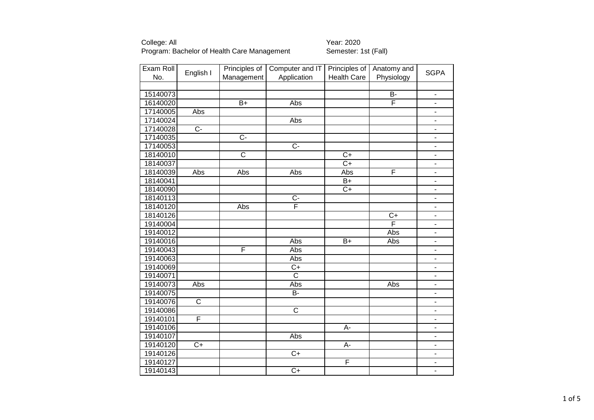| Exam Roll | English I             | Principles of         | Computer and IT       | Principles of      | Anatomy and    | <b>SGPA</b>                  |
|-----------|-----------------------|-----------------------|-----------------------|--------------------|----------------|------------------------------|
| No.       |                       | Management            | Application           | <b>Health Care</b> | Physiology     |                              |
|           |                       |                       |                       |                    |                |                              |
| 15140073  |                       |                       |                       |                    | $\overline{B}$ | $\overline{a}$               |
| 16140020  |                       | $\overline{B+}$       | Abs                   |                    | F              | -                            |
| 17140005  | Abs                   |                       |                       |                    |                | $\overline{\phantom{0}}$     |
| 17140024  |                       |                       | Abs                   |                    |                | $\overline{a}$               |
| 17140028  | $\overline{C}$        |                       |                       |                    |                | -                            |
| 17140035  |                       | $\overline{C}$        |                       |                    |                | -                            |
| 17140053  |                       |                       | $\overline{C}$        |                    |                | $\overline{a}$               |
| 18140010  |                       | $\overline{\text{c}}$ |                       | $\overline{C+}$    |                | $\overline{a}$               |
| 18140037  |                       |                       |                       | $C+$               |                | -                            |
| 18140039  | Abs                   | Abs                   | Abs                   | Abs                | F              | $\overline{\phantom{0}}$     |
| 18140041  |                       |                       |                       | B+                 |                | $\qquad \qquad \blacksquare$ |
| 18140090  |                       |                       |                       | $C+$               |                | $\overline{\phantom{0}}$     |
| 18140113  |                       |                       | $C -$                 |                    |                | $\overline{\phantom{0}}$     |
| 18140120  |                       | Abs                   | F                     |                    |                | $\overline{\phantom{0}}$     |
| 18140126  |                       |                       |                       |                    | $C+$           | $\overline{\phantom{0}}$     |
| 19140004  |                       |                       |                       |                    | F              | $\frac{1}{2}$                |
| 19140012  |                       |                       |                       |                    | Abs            | $\qquad \qquad \blacksquare$ |
| 19140016  |                       |                       | Abs                   | $B+$               | Abs            | -                            |
| 19140043  |                       | F                     | Abs                   |                    |                | $\overline{\phantom{0}}$     |
| 19140063  |                       |                       | Abs                   |                    |                | $\frac{1}{2}$                |
| 19140069  |                       |                       | $C+$                  |                    |                |                              |
| 19140071  |                       |                       | $\overline{\text{c}}$ |                    |                |                              |
| 19140073  | Abs                   |                       | Abs                   |                    | Abs            |                              |
| 19140075  |                       |                       | B-                    |                    |                |                              |
| 19140076  | $\overline{\text{c}}$ |                       |                       |                    |                |                              |
| 19140086  |                       |                       | $\overline{\text{c}}$ |                    |                | ÷,                           |
| 19140101  | F                     |                       |                       |                    |                | -                            |
| 19140106  |                       |                       |                       | А-                 |                | -                            |
| 19140107  |                       |                       | Abs                   |                    |                | -                            |
| 19140120  | $C+$                  |                       |                       | А-                 |                | -                            |
| 19140126  |                       |                       | $C+$                  |                    |                | $\overline{\phantom{a}}$     |
| 19140127  |                       |                       |                       | F                  |                |                              |
| 19140143  |                       |                       | $C+$                  |                    |                | $\frac{1}{2}$                |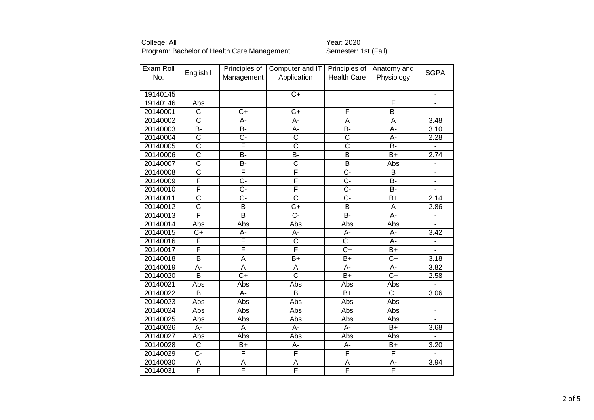| Exam Roll | English I               | Principles of           | Computer and IT       | Principles of         | Anatomy and     | <b>SGPA</b>                  |
|-----------|-------------------------|-------------------------|-----------------------|-----------------------|-----------------|------------------------------|
| No.       |                         | Management              | Application           | <b>Health Care</b>    | Physiology      |                              |
|           |                         |                         |                       |                       |                 |                              |
| 19140145  |                         |                         | $\overline{C+}$       |                       |                 | $\blacksquare$               |
| 19140146  | Abs                     |                         |                       |                       | F               | $\frac{1}{2}$                |
| 20140001  | C                       | $C+$                    | $C+$                  | F                     | B-              |                              |
| 20140002  | $\overline{\text{c}}$   | A-                      | A-                    | A                     | A               | 3.48                         |
| 20140003  | B-                      | $\overline{B}$          | A-                    | $\overline{B}$        | $\overline{A}$  | 3.10                         |
| 20140004  | $\overline{\text{c}}$   | C-                      | C                     | $\overline{\text{c}}$ | A-              | 2.28                         |
| 20140005  | $\overline{\text{c}}$   | F                       | $\overline{\text{c}}$ | $\overline{\text{c}}$ | <b>B-</b>       | $\overline{a}$               |
| 20140006  | $\overline{\text{c}}$   | $\overline{B}$          | $\overline{B}$        | $\overline{B}$        | $\overline{B}$  | 2.74                         |
| 20140007  | $\overline{\text{c}}$   | <b>B-</b>               | $\overline{\text{c}}$ | $\overline{B}$        | Abs             | $\overline{a}$               |
| 20140008  | $\overline{\text{c}}$   | F                       | F                     | $\overline{C}$ -      | B               | $\qquad \qquad \blacksquare$ |
| 20140009  | F                       | $\overline{C}$ -        | F                     | $\overline{C}$ -      | $\overline{B}$  | $\overline{\phantom{a}}$     |
| 20140010  | F                       | $\overline{C}$ -        | F                     | $\overline{C}$ -      | <b>B-</b>       | $\overline{a}$               |
| 20140011  | $\overline{\text{c}}$   | $\overline{C}$          | $\overline{\text{c}}$ | $\overline{C}$        | $B+$            | 2.14                         |
| 20140012  | $\overline{\text{c}}$   | B                       | $C+$                  | B                     | A               | 2.86                         |
| 20140013  | F                       | $\overline{\mathsf{B}}$ | $\overline{C}$        | B-                    | A-              |                              |
| 20140014  | Abs                     | Abs                     | Abs                   | Abs                   | Abs             | $\overline{a}$               |
| 20140015  | $C+$                    | A-                      | A-                    | A-                    | A-              | 3.42                         |
| 20140016  | F                       | F                       | $\overline{\text{c}}$ | $\overline{C+}$       | A-              | -                            |
| 20140017  | F                       | F                       | F                     | $C+$                  | $B+$            | L.                           |
| 20140018  | $\overline{\mathsf{B}}$ | $\overline{\mathsf{A}}$ | $B+$                  | B+                    | $C+$            | 3.18                         |
| 20140019  | $\overline{A}$          | $\overline{\mathsf{A}}$ | A                     | A-                    | A-              | 3.82                         |
| 20140020  | $\overline{B}$          | $C+$                    | $\overline{\text{c}}$ | $B+$                  | $C+$            | 2.58                         |
| 20140021  | Abs                     | Abs                     | Abs                   | Abs                   | Abs             |                              |
| 20140022  | $\overline{B}$          | А-                      | $\overline{B}$        | $B+$                  | $\overline{C+}$ | 3.06                         |
| 20140023  | Abs                     | Abs                     | Abs                   | Abs                   | Abs             |                              |
| 20140024  | Abs                     | Abs                     | <b>Abs</b>            | Abs                   | Abs             | $\overline{\phantom{0}}$     |
| 20140025  | Abs                     | Abs                     | Abs                   | Abs                   | Abs             | $\overline{\phantom{a}}$     |
| 20140026  | A-                      | A                       | A-                    | A-                    | $B+$            | 3.68                         |
| 20140027  | Abs                     | Abs                     | Abs                   | Abs                   | Abs             |                              |
| 20140028  | C                       | $B+$                    | А-                    | A-                    | $B+$            | 3.20                         |
| 20140029  | C-                      | F                       | F                     | F                     | F               |                              |
| 20140030  | A                       | $\overline{A}$          | A                     | $\overline{A}$        | A-              | 3.94                         |
| 20140031  | F                       | F                       | F                     | F                     | F               | $\blacksquare$               |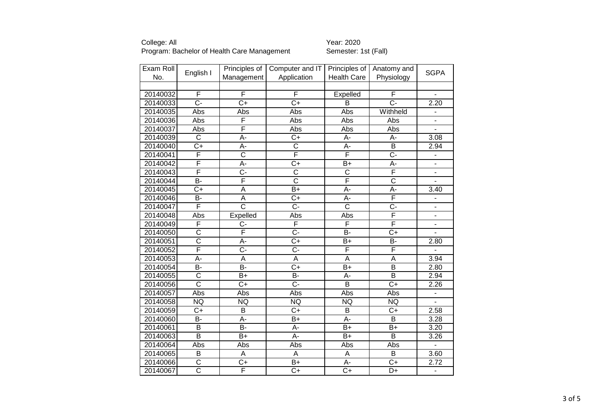| Exam Roll | English I               | Principles of         | Computer and IT       | Principles of           | Anatomy and           |                              |
|-----------|-------------------------|-----------------------|-----------------------|-------------------------|-----------------------|------------------------------|
| No.       |                         | Management            | Application           | <b>Health Care</b>      | Physiology            | <b>SGPA</b>                  |
|           |                         |                       |                       |                         |                       |                              |
| 20140032  | F                       | F                     | F                     | Expelled                | F                     | $\blacksquare$               |
| 20140033  | $\overline{C}$ -        | $\overline{C+}$       | $\overline{C}$        | B                       | $\overline{C}$ -      | 2.20                         |
| 20140035  | Abs                     | Abs                   | Abs                   | Abs                     | Withheld              | $\frac{1}{2}$                |
| 20140036  | Abs                     | F                     | Abs                   | Abs                     | Abs                   |                              |
| 20140037  | Abs                     | F                     | Abs                   | Abs                     | <b>Abs</b>            | $\overline{a}$               |
| 20140039  | $\overline{\mathsf{C}}$ | A-                    | C+                    | A-                      | А-                    | 3.08                         |
| 20140040  | $C+$                    | A-                    | $\overline{\text{c}}$ | A-                      | B                     | 2.94                         |
| 20140041  | F                       | $\overline{\text{c}}$ | F                     | F                       | $\overline{C}$ -      |                              |
| 20140042  | F                       | A-                    | $C+$                  | $B+$                    | A-                    | $\blacksquare$               |
| 20140043  | $\overline{\mathsf{F}}$ | $\overline{C}$ -      | $\overline{\text{c}}$ | $\overline{\text{c}}$   | F                     | $\overline{a}$               |
| 20140044  | $\overline{B}$          | F                     | $\overline{\text{c}}$ | $\overline{\mathsf{F}}$ | $\overline{\text{c}}$ | $\blacksquare$               |
| 20140045  | $C+$                    | A                     | $B+$                  | A-                      | A-                    | 3.40                         |
| 20140046  | <b>B-</b>               | A                     | $C+$                  | А-                      | F                     | $\overline{\phantom{0}}$     |
| 20140047  | F                       | $\overline{\text{c}}$ | Ċ-                    | $\overline{\text{c}}$   | $\overline{C}$        | $\qquad \qquad \blacksquare$ |
| 20140048  | Abs                     | Expelled              | Abs                   | Abs                     | F                     | $\overline{\phantom{0}}$     |
| 20140049  | F                       | $C -$                 | F                     | $\overline{F}$          | F                     | -                            |
| 20140050  | $\overline{\text{c}}$   | F                     | $\overline{C}$ -      | $\overline{B}$          | $\overline{C}$        | $\blacksquare$               |
| 20140051  | $\overline{\text{c}}$   | A-                    | $\overline{C}$        | $B+$                    | <b>B-</b>             | 2.80                         |
| 20140052  | F                       | C-                    | C-                    | F                       | F                     |                              |
| 20140053  | $\overline{A}$ -        | $\overline{A}$        | $\overline{A}$        | $\overline{A}$          | $\overline{A}$        | 3.94                         |
| 20140054  | B-                      | <b>B-</b>             | $\overline{C}$        | $B+$                    | B                     | 2.80                         |
| 20140055  | $\overline{\text{c}}$   | $B+$                  | B-                    | A-                      | $\overline{B}$        | 2.94                         |
| 20140056  | $\overline{\text{c}}$   | $C+$                  | $\overline{C}$ -      | $\overline{B}$          | $\overline{C}$        | 2.26                         |
| 20140057  | Abs                     | Abs                   | Abs                   | Abs                     | Abs                   | $\overline{\phantom{a}}$     |
| 20140058  | <b>NQ</b>               | <b>NQ</b>             | <b>NQ</b>             | <b>NQ</b>               | <b>NQ</b>             | $\overline{\phantom{a}}$     |
| 20140059  | $C+$                    | $\overline{B}$        | $C+$                  | $\overline{B}$          | $C+$                  | 2.58                         |
| 20140060  | B-                      | A-                    | $B+$                  | A-                      | B                     | 3.28                         |
| 20140061  | $\overline{B}$          | $\overline{B}$        | A-                    | $B+$                    | $B+$                  | 3.20                         |
| 20140063  | $\overline{\mathsf{B}}$ | $B+$                  | A-                    | B+                      | $\overline{B}$        | 3.26                         |
| 20140064  | Abs                     | Abs                   | Abs                   | Abs                     | Abs                   | $\overline{a}$               |
| 20140065  | $\overline{B}$          | A                     | A                     | $\mathsf A$             | $\overline{B}$        | 3.60                         |
| 20140066  | $\overline{\text{c}}$   | $\overline{C+}$       | B+                    | A-                      | $\overline{C}$        | 2.72                         |
| 20140067  | $\overline{\text{c}}$   | F                     | $C+$                  | $\overline{C}$          | D+                    | $\overline{\phantom{0}}$     |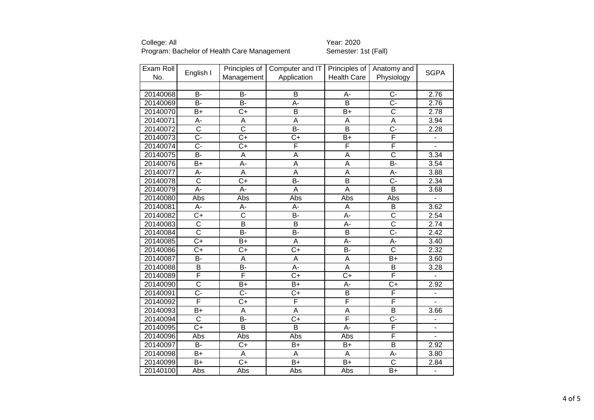| Exam Roll |                       | Principles of           | Computer and IT  | Principles of           | Anatomy and             | <b>SGPA</b>              |
|-----------|-----------------------|-------------------------|------------------|-------------------------|-------------------------|--------------------------|
| No.       | English I             | Management              | Application      | <b>Health Care</b>      | Physiology              |                          |
|           |                       |                         |                  |                         |                         |                          |
| 20140068  | $\overline{B}$        | B-                      | B                | A-                      | $C -$                   | 2.76                     |
| 20140069  | B-                    | $\overline{B}$          | $\overline{A}$ - | $\overline{B}$          | $\overline{C}$ -        | 2.76                     |
| 20140070  | B+                    | $C+$                    | B                | B+                      | $\overline{\text{c}}$   | 2.78                     |
| 20140071  | A-                    | A                       | A                | A                       | $\overline{A}$          | 3.94                     |
| 20140072  | $\overline{\text{c}}$ | $\overline{\text{c}}$   | B-               | $\overline{\mathsf{B}}$ | $\overline{C}$ -        | 2.28                     |
| 20140073  | C-                    | $C+$                    | $C+$             | $B+$                    | F                       |                          |
| 20140074  | $\overline{C}$        | $\overline{C}$          | F                | F                       | F                       |                          |
| 20140075  | $\overline{B}$ -      | $\overline{\mathsf{A}}$ | $\overline{A}$   | $\overline{A}$          | $\overline{\text{c}}$   | 3.34                     |
| 20140076  | B+                    | A-                      | A                | A                       | B-                      | 3.54                     |
| 20140077  | A-                    | $\overline{A}$          | A                | $\overline{A}$          | A-                      | 3.88                     |
| 20140078  | $\overline{\text{c}}$ | $\overline{C+}$         | $\overline{B}$   | $\overline{\mathsf{B}}$ | $\overline{C}$ -        | 2.34                     |
| 20140079  | A-                    | A-                      | A                | $\overline{A}$          | B                       | 3.68                     |
| 20140080  | Abs                   | Abs                     | Abs              | Abs                     | Abs                     |                          |
| 20140081  | A-                    | A-                      | A-               | $\overline{A}$          | $\overline{B}$          | 3.62                     |
| 20140082  | $C+$                  | $\overline{\text{c}}$   | B-               | A-                      | $\overline{\text{C}}$   | 2.54                     |
| 20140083  | $\overline{\text{c}}$ | $\overline{\mathsf{B}}$ | B                | A-                      | $\overline{\text{c}}$   | 2.74                     |
| 20140084  | $\overline{\text{c}}$ | $\overline{B}$          | $\overline{B}$   | $\overline{B}$          | $\overline{C}$ -        | 2.42                     |
| 20140085  | $C+$                  | $B+$                    | A                | A-                      | A-                      | 3.40                     |
| 20140086  | $\overline{C+}$       | $\overline{C+}$         | $\overline{C}$   | <b>B-</b>               | $\overline{\text{c}}$   | 2.32                     |
| 20140087  | $\overline{B}$ -      | $\overline{\mathsf{A}}$ | $\overline{A}$   | $\overline{A}$          | $\overline{B+}$         | 3.60                     |
| 20140088  | B                     | B-                      | A-               | $\overline{A}$          | B                       | 3.28                     |
| 20140089  | F                     | F                       | $C+$             | $C+$                    | F                       |                          |
| 20140090  | $\overline{\text{c}}$ | $B+$                    | $\overline{B+}$  | A-                      | $\overline{C}$          | 2.92                     |
| 20140091  | $\overline{C}$ -      | $\overline{C}$ -        | $C+$             | $\overline{B}$          | F                       |                          |
| 20140092  | F                     | $\overline{C+}$         | F                | F                       | F                       |                          |
| 20140093  | $\overline{B+}$       | $\overline{A}$          | $\overline{A}$   | $\overline{A}$          | $\overline{\mathsf{B}}$ | 3.66                     |
| 20140094  | $\overline{\text{C}}$ | B-                      | $\overline{C+}$  | $\overline{\mathsf{F}}$ | $\overline{C}$          | $\overline{\phantom{0}}$ |
| 20140095  | $C+$                  | B                       | B                | A-                      | $\overline{\mathsf{F}}$ | $\overline{\phantom{a}}$ |
| 20140096  | Abs                   | Abs                     | Abs              | Abs                     | F                       |                          |
| 20140097  | B-                    | $C+$                    | $B+$             | $B+$                    | B                       | 2.92                     |
| 20140098  | $B+$                  | A                       | A                | A                       | A-                      | 3.80                     |
| 20140099  | $\overline{B+}$       | $\overline{C+}$         | $\overline{B+}$  | $\overline{B+}$         | $\overline{\text{c}}$   | 2.84                     |
| 20140100  | Abs                   | Abs                     | Abs              | Abs                     | $B+$                    | $\blacksquare$           |